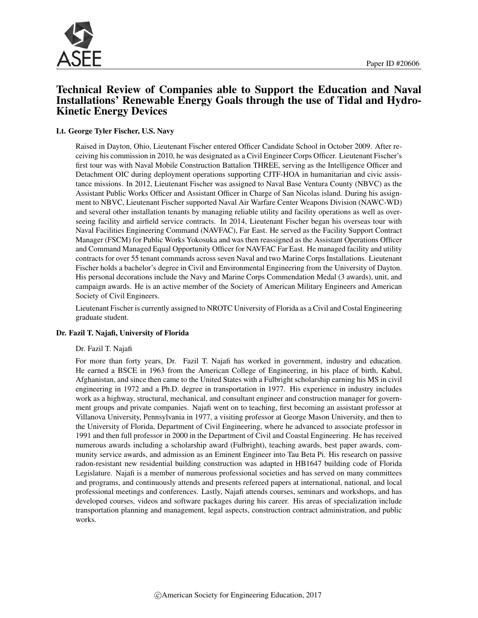

# Technical Review of Companies able to Support the Education and Naval Installations' Renewable Energy Goals through the use of Tidal and Hydro-Kinetic Energy Devices

#### Lt. George Tyler Fischer, U.S. Navy

Raised in Dayton, Ohio, Lieutenant Fischer entered Officer Candidate School in October 2009. After receiving his commission in 2010, he was designated as a Civil Engineer Corps Officer. Lieutenant Fischer's first tour was with Naval Mobile Construction Battalion THREE, serving as the Intelligence Officer and Detachment OIC during deployment operations supporting CJTF-HOA in humanitarian and civic assistance missions. In 2012, Lieutenant Fischer was assigned to Naval Base Ventura County (NBVC) as the Assistant Public Works Officer and Assistant Officer in Charge of San Nicolas island. During his assignment to NBVC, Lieutenant Fischer supported Naval Air Warfare Center Weapons Division (NAWC-WD) and several other installation tenants by managing reliable utility and facility operations as well as overseeing facility and airfield service contracts. In 2014, Lieutenant Fischer began his overseas tour with Naval Facilities Engineering Command (NAVFAC), Far East. He served as the Facility Support Contract Manager (FSCM) for Public Works Yokosuka and was then reassigned as the Assistant Operations Officer and Command Managed Equal Opportunity Officer for NAVFAC Far East. He managed facility and utility contracts for over 55 tenant commands across seven Naval and two Marine Corps Installations. Lieutenant Fischer holds a bachelor's degree in Civil and Environmental Engineering from the University of Dayton. His personal decorations include the Navy and Marine Corps Commendation Medal (3 awards), unit, and campaign awards. He is an active member of the Society of American Military Engineers and American Society of Civil Engineers.

Lieutenant Fischer is currently assigned to NROTC University of Florida as a Civil and Costal Engineering graduate student.

#### Dr. Fazil T. Najafi, University of Florida

#### Dr. Fazil T. Najafi

For more than forty years, Dr. Fazil T. Najafi has worked in government, industry and education. He earned a BSCE in 1963 from the American College of Engineering, in his place of birth, Kabul, Afghanistan, and since then came to the United States with a Fulbright scholarship earning his MS in civil engineering in 1972 and a Ph.D. degree in transportation in 1977. His experience in industry includes work as a highway, structural, mechanical, and consultant engineer and construction manager for government groups and private companies. Najafi went on to teaching, first becoming an assistant professor at Villanova University, Pennsylvania in 1977, a visiting professor at George Mason University, and then to the University of Florida, Department of Civil Engineering, where he advanced to associate professor in 1991 and then full professor in 2000 in the Department of Civil and Coastal Engineering. He has received numerous awards including a scholarship award (Fulbright), teaching awards, best paper awards, community service awards, and admission as an Eminent Engineer into Tau Beta Pi. His research on passive radon-resistant new residential building construction was adapted in HB1647 building code of Florida Legislature. Najafi is a member of numerous professional societies and has served on many committees and programs, and continuously attends and presents refereed papers at international, national, and local professional meetings and conferences. Lastly, Najafi attends courses, seminars and workshops, and has developed courses, videos and software packages during his career. His areas of specialization include transportation planning and management, legal aspects, construction contract administration, and public works.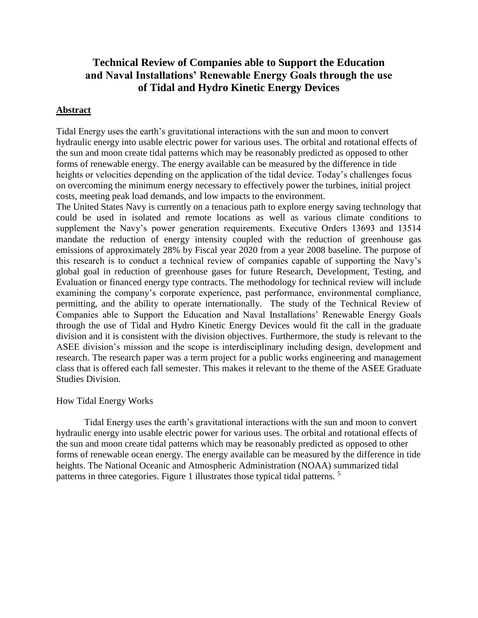# **Technical Review of Companies able to Support the Education and Naval Installations' Renewable Energy Goals through the use of Tidal and Hydro Kinetic Energy Devices**

# **Abstract**

Tidal Energy uses the earth's gravitational interactions with the sun and moon to convert hydraulic energy into usable electric power for various uses. The orbital and rotational effects of the sun and moon create tidal patterns which may be reasonably predicted as opposed to other forms of renewable energy. The energy available can be measured by the difference in tide heights or velocities depending on the application of the tidal device. Today's challenges focus on overcoming the minimum energy necessary to effectively power the turbines, initial project costs, meeting peak load demands, and low impacts to the environment.

The United States Navy is currently on a tenacious path to explore energy saving technology that could be used in isolated and remote locations as well as various climate conditions to supplement the Navy's power generation requirements. Executive Orders 13693 and 13514 mandate the reduction of energy intensity coupled with the reduction of greenhouse gas emissions of approximately 28% by Fiscal year 2020 from a year 2008 baseline. The purpose of this research is to conduct a technical review of companies capable of supporting the Navy's global goal in reduction of greenhouse gases for future Research, Development, Testing, and Evaluation or financed energy type contracts. The methodology for technical review will include examining the company's corporate experience, past performance, environmental compliance, permitting, and the ability to operate internationally. The study of the Technical Review of Companies able to Support the Education and Naval Installations' Renewable Energy Goals through the use of Tidal and Hydro Kinetic Energy Devices would fit the call in the graduate division and it is consistent with the division objectives. Furthermore, the study is relevant to the ASEE division's mission and the scope is interdisciplinary including design, development and research. The research paper was a term project for a public works engineering and management class that is offered each fall semester. This makes it relevant to the theme of the ASEE Graduate Studies Division.

## How Tidal Energy Works

Tidal Energy uses the earth's gravitational interactions with the sun and moon to convert hydraulic energy into usable electric power for various uses. The orbital and rotational effects of the sun and moon create tidal patterns which may be reasonably predicted as opposed to other forms of renewable ocean energy. The energy available can be measured by the difference in tide heights. The National Oceanic and Atmospheric Administration (NOAA) summarized tidal patterns in three categories. Figure 1 illustrates those typical tidal patterns.<sup>5</sup>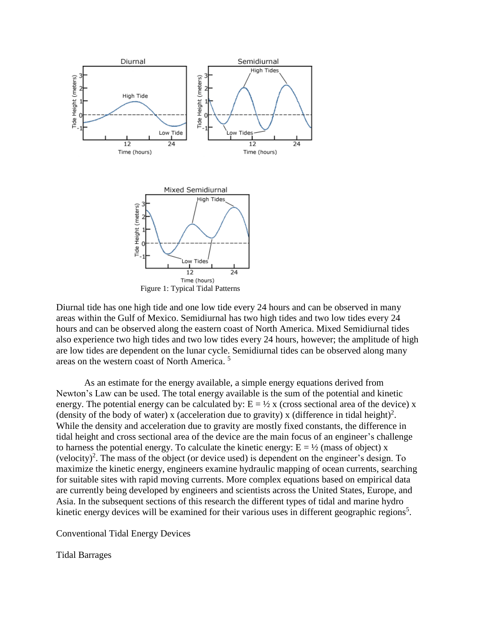

Diurnal tide has one high tide and one low tide every 24 hours and can be observed in many areas within the Gulf of Mexico. Semidiurnal has two high tides and two low tides every 24 hours and can be observed along the eastern coast of North America. Mixed Semidiurnal tides also experience two high tides and two low tides every 24 hours, however; the amplitude of high are low tides are dependent on the lunar cycle. Semidiurnal tides can be observed along many areas on the western coast of North America. 5

As an estimate for the energy available, a simple energy equations derived from Newton's Law can be used. The total energy available is the sum of the potential and kinetic energy. The potential energy can be calculated by:  $E = \frac{1}{2}x$  (cross sectional area of the device) x (density of the body of water) x (acceleration due to gravity) x (difference in tidal height)<sup>2</sup>. While the density and acceleration due to gravity are mostly fixed constants, the difference in tidal height and cross sectional area of the device are the main focus of an engineer's challenge to harness the potential energy. To calculate the kinetic energy:  $E = \frac{1}{2}$  (mass of object) x  $(velocity)<sup>2</sup>$ . The mass of the object (or device used) is dependent on the engineer's design. To maximize the kinetic energy, engineers examine hydraulic mapping of ocean currents, searching for suitable sites with rapid moving currents. More complex equations based on empirical data are currently being developed by engineers and scientists across the United States, Europe, and Asia. In the subsequent sections of this research the different types of tidal and marine hydro kinetic energy devices will be examined for their various uses in different geographic regions<sup>5</sup>.

Conventional Tidal Energy Devices

Tidal Barrages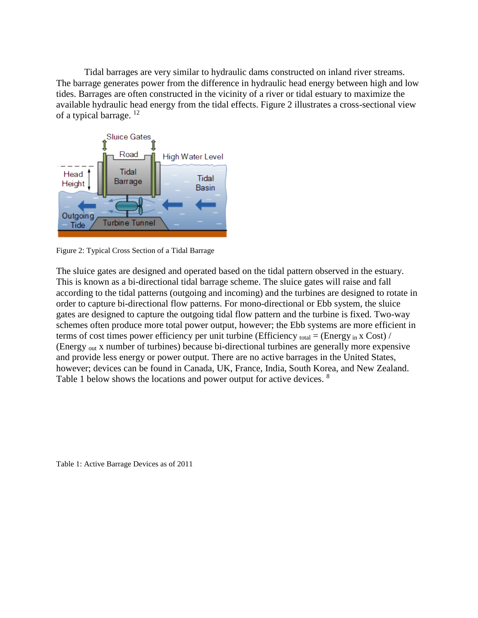Tidal barrages are very similar to hydraulic dams constructed on inland river streams. The barrage generates power from the difference in hydraulic head energy between high and low tides. Barrages are often constructed in the vicinity of a river or tidal estuary to maximize the available hydraulic head energy from the tidal effects. Figure 2 illustrates a cross-sectional view of a typical barrage.<sup>12</sup>



Figure 2: Typical Cross Section of a Tidal Barrage

The sluice gates are designed and operated based on the tidal pattern observed in the estuary. This is known as a bi-directional tidal barrage scheme. The sluice gates will raise and fall according to the tidal patterns (outgoing and incoming) and the turbines are designed to rotate in order to capture bi-directional flow patterns. For mono-directional or Ebb system, the sluice gates are designed to capture the outgoing tidal flow pattern and the turbine is fixed. Two-way schemes often produce more total power output, however; the Ebb systems are more efficient in terms of cost times power efficiency per unit turbine (Efficiency total = (Energy in x Cost) / (Energy out x number of turbines) because bi-directional turbines are generally more expensive and provide less energy or power output. There are no active barrages in the United States, however; devices can be found in Canada, UK, France, India, South Korea, and New Zealand. Table 1 below shows the locations and power output for active devices. <sup>8</sup>

Table 1: Active Barrage Devices as of 2011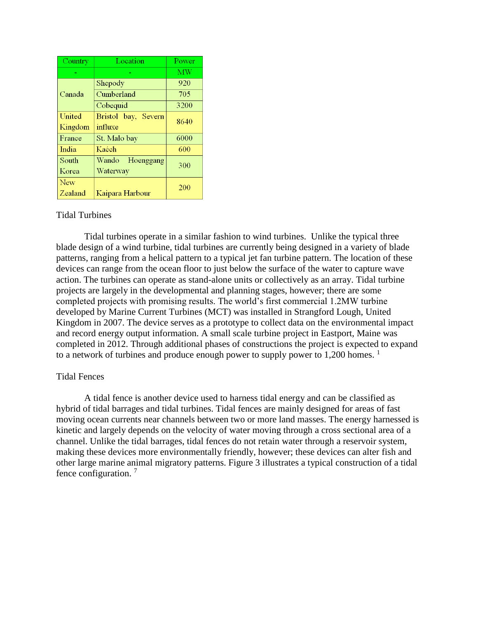| Country    | Location            | Power     |
|------------|---------------------|-----------|
|            |                     | <b>MW</b> |
| Canada     | Shepody             | 920       |
|            | Cumberland          | 705       |
|            | Cobequid            | 3200      |
| United     | Bristol bay, Severn | 8640      |
| Kingdom    | influxe             |           |
| France     | St. Malo bay        | 6000      |
| India      | Kaćch               | 600       |
| South      | Hoenggang<br>Wando  | 300       |
| Korea      | Waterway            |           |
| <b>New</b> |                     | 200       |
| Zealand    | Kaipara Harbour     |           |

## Tidal Turbines

Tidal turbines operate in a similar fashion to wind turbines. Unlike the typical three blade design of a wind turbine, tidal turbines are currently being designed in a variety of blade patterns, ranging from a helical pattern to a typical jet fan turbine pattern. The location of these devices can range from the ocean floor to just below the surface of the water to capture wave action. The turbines can operate as stand-alone units or collectively as an array. Tidal turbine projects are largely in the developmental and planning stages, however; there are some completed projects with promising results. The world's first commercial 1.2MW turbine developed by Marine Current Turbines (MCT) was installed in Strangford Lough, United Kingdom in 2007. The device serves as a prototype to collect data on the environmental impact and record energy output information. A small scale turbine project in Eastport, Maine was completed in 2012. Through additional phases of constructions the project is expected to expand to a network of turbines and produce enough power to supply power to 1,200 homes.  $\frac{1}{1}$ 

#### Tidal Fences

A tidal fence is another device used to harness tidal energy and can be classified as hybrid of tidal barrages and tidal turbines. Tidal fences are mainly designed for areas of fast moving ocean currents near channels between two or more land masses. The energy harnessed is kinetic and largely depends on the velocity of water moving through a cross sectional area of a channel. Unlike the tidal barrages, tidal fences do not retain water through a reservoir system, making these devices more environmentally friendly, however; these devices can alter fish and other large marine animal migratory patterns. Figure 3 illustrates a typical construction of a tidal fence configuration. <sup>7</sup>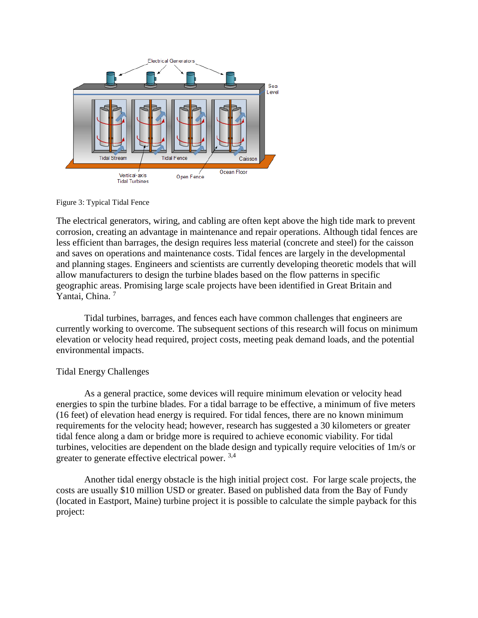

Figure 3: Typical Tidal Fence

The electrical generators, wiring, and cabling are often kept above the high tide mark to prevent corrosion, creating an advantage in maintenance and repair operations. Although tidal fences are less efficient than barrages, the design requires less material (concrete and steel) for the caisson and saves on operations and maintenance costs. Tidal fences are largely in the developmental and planning stages. Engineers and scientists are currently developing theoretic models that will allow manufacturers to design the turbine blades based on the flow patterns in specific geographic areas. Promising large scale projects have been identified in Great Britain and Yantai, China.<sup>7</sup>

Tidal turbines, barrages, and fences each have common challenges that engineers are currently working to overcome. The subsequent sections of this research will focus on minimum elevation or velocity head required, project costs, meeting peak demand loads, and the potential environmental impacts.

# Tidal Energy Challenges

As a general practice, some devices will require minimum elevation or velocity head energies to spin the turbine blades. For a tidal barrage to be effective, a minimum of five meters (16 feet) of elevation head energy is required. For tidal fences, there are no known minimum requirements for the velocity head; however, research has suggested a 30 kilometers or greater tidal fence along a dam or bridge more is required to achieve economic viability. For tidal turbines, velocities are dependent on the blade design and typically require velocities of 1m/s or greater to generate effective electrical power. <sup>3,4</sup>

Another tidal energy obstacle is the high initial project cost. For large scale projects, the costs are usually \$10 million USD or greater. Based on published data from the Bay of Fundy (located in Eastport, Maine) turbine project it is possible to calculate the simple payback for this project: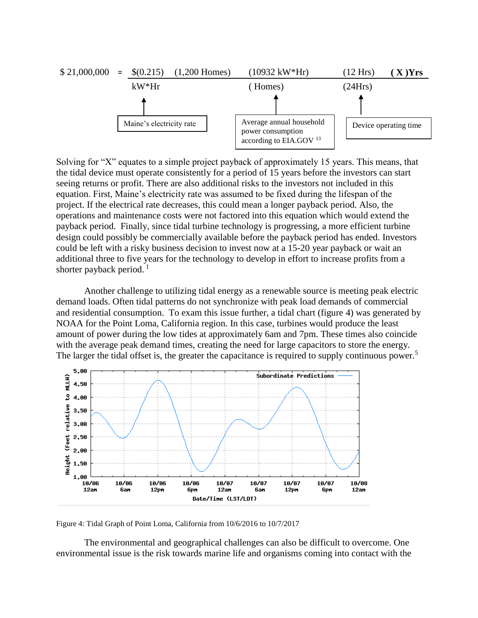

Solving for "X" equates to a simple project payback of approximately 15 years. This means, that the tidal device must operate consistently for a period of 15 years before the investors can start seeing returns or profit. There are also additional risks to the investors not included in this equation. First, Maine's electricity rate was assumed to be fixed during the lifespan of the project. If the electrical rate decreases, this could mean a longer payback period. Also, the operations and maintenance costs were not factored into this equation which would extend the payback period. Finally, since tidal turbine technology is progressing, a more efficient turbine design could possibly be commercially available before the payback period has ended. Investors could be left with a risky business decision to invest now at a 15-20 year payback or wait an additional three to five years for the technology to develop in effort to increase profits from a shorter payback period.  $\frac{1}{1}$ 

Another challenge to utilizing tidal energy as a renewable source is meeting peak electric demand loads. Often tidal patterns do not synchronize with peak load demands of commercial and residential consumption. To exam this issue further, a tidal chart (figure 4) was generated by NOAA for the Point Loma, California region. In this case, turbines would produce the least amount of power during the low tides at approximately 6am and 7pm. These times also coincide with the average peak demand times, creating the need for large capacitors to store the energy. The larger the tidal offset is, the greater the capacitance is required to supply continuous power.<sup>5</sup>



Figure 4: Tidal Graph of Point Loma, California from 10/6/2016 to 10/7/2017

The environmental and geographical challenges can also be difficult to overcome. One environmental issue is the risk towards marine life and organisms coming into contact with the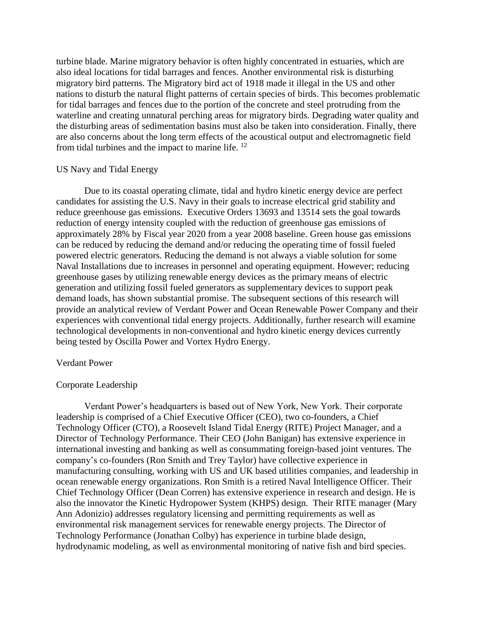turbine blade. Marine migratory behavior is often highly concentrated in estuaries, which are also ideal locations for tidal barrages and fences. Another environmental risk is disturbing migratory bird patterns. The Migratory bird act of 1918 made it illegal in the US and other nations to disturb the natural flight patterns of certain species of birds. This becomes problematic for tidal barrages and fences due to the portion of the concrete and steel protruding from the waterline and creating unnatural perching areas for migratory birds. Degrading water quality and the disturbing areas of sedimentation basins must also be taken into consideration. Finally, there are also concerns about the long term effects of the acoustical output and electromagnetic field from tidal turbines and the impact to marine life.  $12$ 

## US Navy and Tidal Energy

Due to its coastal operating climate, tidal and hydro kinetic energy device are perfect candidates for assisting the U.S. Navy in their goals to increase electrical grid stability and reduce greenhouse gas emissions. Executive Orders 13693 and 13514 sets the goal towards reduction of energy intensity coupled with the reduction of greenhouse gas emissions of approximately 28% by Fiscal year 2020 from a year 2008 baseline. Green house gas emissions can be reduced by reducing the demand and/or reducing the operating time of fossil fueled powered electric generators. Reducing the demand is not always a viable solution for some Naval Installations due to increases in personnel and operating equipment. However; reducing greenhouse gases by utilizing renewable energy devices as the primary means of electric generation and utilizing fossil fueled generators as supplementary devices to support peak demand loads, has shown substantial promise. The subsequent sections of this research will provide an analytical review of Verdant Power and Ocean Renewable Power Company and their experiences with conventional tidal energy projects. Additionally, further research will examine technological developments in non-conventional and hydro kinetic energy devices currently being tested by Oscilla Power and Vortex Hydro Energy.

#### Verdant Power

## Corporate Leadership

Verdant Power's headquarters is based out of New York, New York. Their corporate leadership is comprised of a Chief Executive Officer (CEO), two co-founders, a Chief Technology Officer (CTO), a Roosevelt Island Tidal Energy (RITE) Project Manager, and a Director of Technology Performance. Their CEO (John Banigan) has extensive experience in international investing and banking as well as consummating foreign-based joint ventures. The company's co-founders (Ron Smith and Trey Taylor) have collective experience in manufacturing consulting, working with US and UK based utilities companies, and leadership in ocean renewable energy organizations. Ron Smith is a retired Naval Intelligence Officer. Their Chief Technology Officer (Dean Corren) has extensive experience in research and design. He is also the innovator the Kinetic Hydropower System (KHPS) design. Their RITE manager (Mary Ann Adonizio) addresses regulatory licensing and permitting requirements as well as environmental risk management services for renewable energy projects. The Director of Technology Performance (Jonathan Colby) has experience in turbine blade design, hydrodynamic modeling, as well as environmental monitoring of native fish and bird species.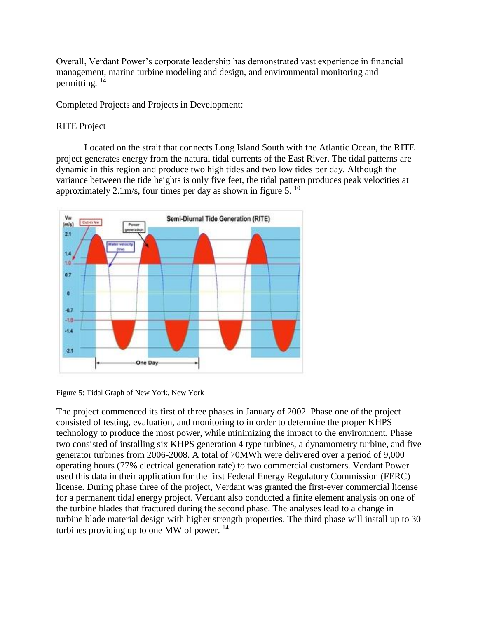Overall, Verdant Power's corporate leadership has demonstrated vast experience in financial management, marine turbine modeling and design, and environmental monitoring and permitting*.* 14

Completed Projects and Projects in Development:

## RITE Project

Located on the strait that connects Long Island South with the Atlantic Ocean, the RITE project generates energy from the natural tidal currents of the East River. The tidal patterns are dynamic in this region and produce two high tides and two low tides per day. Although the variance between the tide heights is only five feet, the tidal pattern produces peak velocities at approximately 2.1m/s, four times per day as shown in figure 5.  $^{10}$ 



Figure 5: Tidal Graph of New York, New York

The project commenced its first of three phases in January of 2002. Phase one of the project consisted of testing, evaluation, and monitoring to in order to determine the proper KHPS technology to produce the most power, while minimizing the impact to the environment. Phase two consisted of installing six KHPS generation 4 type turbines, a dynamometry turbine, and five generator turbines from 2006-2008. A total of 70MWh were delivered over a period of 9,000 operating hours (77% electrical generation rate) to two commercial customers. Verdant Power used this data in their application for the first Federal Energy Regulatory Commission (FERC) license. During phase three of the project, Verdant was granted the first-ever commercial license for a permanent tidal energy project. Verdant also conducted a finite element analysis on one of the turbine blades that fractured during the second phase. The analyses lead to a change in turbine blade material design with higher strength properties. The third phase will install up to 30 turbines providing up to one MW of power.  $14$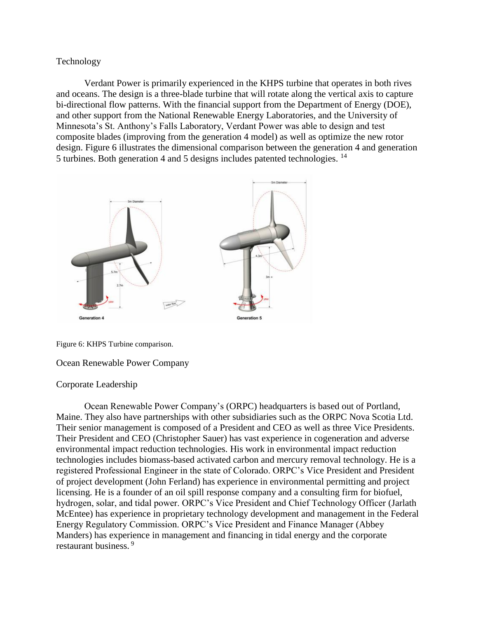## Technology

Verdant Power is primarily experienced in the KHPS turbine that operates in both rives and oceans. The design is a three-blade turbine that will rotate along the vertical axis to capture bi-directional flow patterns. With the financial support from the Department of Energy (DOE), and other support from the National Renewable Energy Laboratories, and the University of Minnesota's St. Anthony's Falls Laboratory, Verdant Power was able to design and test composite blades (improving from the generation 4 model) as well as optimize the new rotor design. Figure 6 illustrates the dimensional comparison between the generation 4 and generation 5 turbines. Both generation 4 and 5 designs includes patented technologies. <sup>14</sup>



Figure 6: KHPS Turbine comparison.

## Ocean Renewable Power Company

## Corporate Leadership

Ocean Renewable Power Company's (ORPC) headquarters is based out of Portland, Maine. They also have partnerships with other subsidiaries such as the ORPC Nova Scotia Ltd. Their senior management is composed of a President and CEO as well as three Vice Presidents. Their President and CEO (Christopher Sauer) has vast experience in cogeneration and adverse environmental impact reduction technologies. His work in environmental impact reduction technologies includes biomass-based activated carbon and mercury removal technology. He is a registered Professional Engineer in the state of Colorado. ORPC's Vice President and President of project development (John Ferland) has experience in environmental permitting and project licensing. He is a founder of an oil spill response company and a consulting firm for biofuel, hydrogen, solar, and tidal power. ORPC's Vice President and Chief Technology Officer (Jarlath McEntee) has experience in proprietary technology development and management in the Federal Energy Regulatory Commission. ORPC's Vice President and Finance Manager (Abbey Manders) has experience in management and financing in tidal energy and the corporate restaurant business. <sup>9</sup>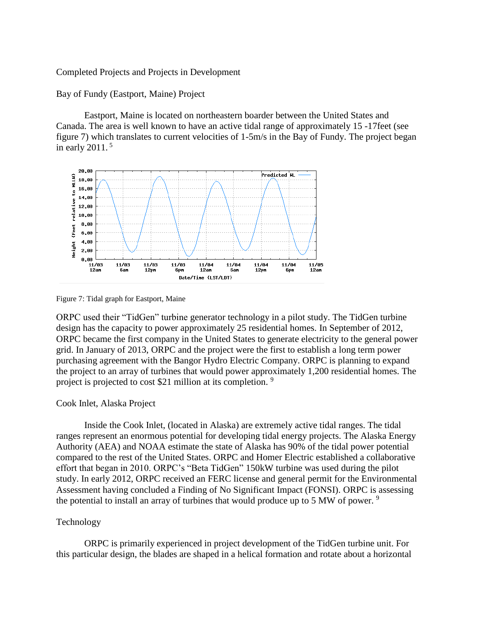Completed Projects and Projects in Development

Bay of Fundy (Eastport, Maine) Project

Eastport, Maine is located on northeastern boarder between the United States and Canada. The area is well known to have an active tidal range of approximately 15 -17feet (see figure 7) which translates to current velocities of 1-5m/s in the Bay of Fundy. The project began in early 2011. 5



Figure 7: Tidal graph for Eastport, Maine

ORPC used their "TidGen" turbine generator technology in a pilot study. The TidGen turbine design has the capacity to power approximately 25 residential homes. In September of 2012, ORPC became the first company in the United States to generate electricity to the general power grid. In January of 2013, ORPC and the project were the first to establish a long term power purchasing agreement with the Bangor Hydro Electric Company. ORPC is planning to expand the project to an array of turbines that would power approximately 1,200 residential homes. The project is projected to cost \$21 million at its completion. <sup>9</sup>

## Cook Inlet, Alaska Project

Inside the Cook Inlet, (located in Alaska) are extremely active tidal ranges. The tidal ranges represent an enormous potential for developing tidal energy projects. The Alaska Energy Authority (AEA) and NOAA estimate the state of Alaska has 90% of the tidal power potential compared to the rest of the United States. ORPC and Homer Electric established a collaborative effort that began in 2010. ORPC's "Beta TidGen" 150kW turbine was used during the pilot study. In early 2012, ORPC received an FERC license and general permit for the Environmental Assessment having concluded a Finding of No Significant Impact (FONSI). ORPC is assessing the potential to install an array of turbines that would produce up to 5 MW of power.  $9$ 

## Technology

ORPC is primarily experienced in project development of the TidGen turbine unit. For this particular design, the blades are shaped in a helical formation and rotate about a horizontal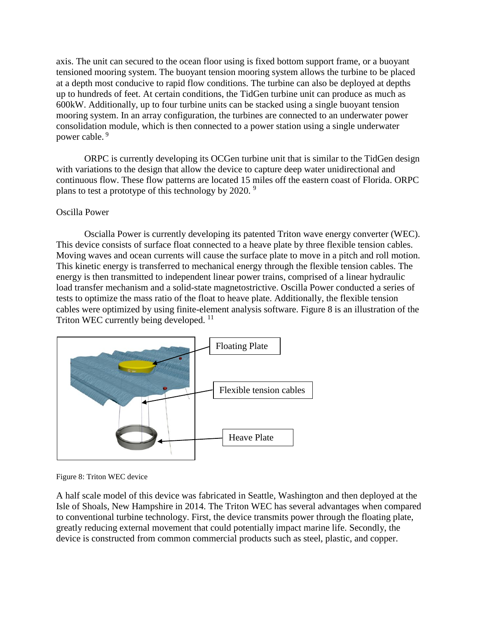axis. The unit can secured to the ocean floor using is fixed bottom support frame, or a buoyant tensioned mooring system. The buoyant tension mooring system allows the turbine to be placed at a depth most conducive to rapid flow conditions. The turbine can also be deployed at depths up to hundreds of feet. At certain conditions, the TidGen turbine unit can produce as much as 600kW. Additionally, up to four turbine units can be stacked using a single buoyant tension mooring system. In an array configuration, the turbines are connected to an underwater power consolidation module, which is then connected to a power station using a single underwater power cable. <sup>9</sup>

ORPC is currently developing its OCGen turbine unit that is similar to the TidGen design with variations to the design that allow the device to capture deep water unidirectional and continuous flow. These flow patterns are located 15 miles off the eastern coast of Florida. ORPC plans to test a prototype of this technology by 2020.<sup>9</sup>

## Oscilla Power

Oscialla Power is currently developing its patented Triton wave energy converter (WEC). This device consists of surface float connected to a heave plate by three flexible tension cables. Moving waves and ocean currents will cause the surface plate to move in a pitch and roll motion. This kinetic energy is transferred to mechanical energy through the flexible tension cables. The energy is then transmitted to independent linear power trains, comprised of a linear hydraulic load transfer mechanism and a solid-state magnetostrictive. Oscilla Power conducted a series of tests to optimize the mass ratio of the float to heave plate. Additionally, the flexible tension cables were optimized by using finite-element analysis software. Figure 8 is an illustration of the Triton WEC currently being developed.<sup>11</sup>



Figure 8: Triton WEC device

A half scale model of this device was fabricated in Seattle, Washington and then deployed at the Isle of Shoals, New Hampshire in 2014. The Triton WEC has several advantages when compared to conventional turbine technology. First, the device transmits power through the floating plate, greatly reducing external movement that could potentially impact marine life. Secondly, the device is constructed from common commercial products such as steel, plastic, and copper.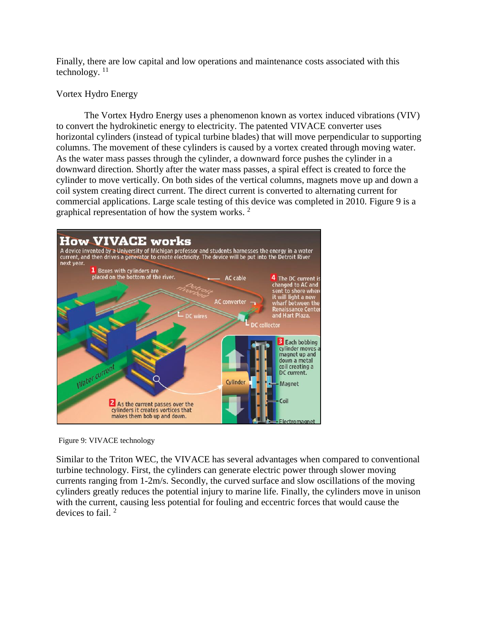Finally, there are low capital and low operations and maintenance costs associated with this technology.  $11$ 

# Vortex Hydro Energy

The Vortex Hydro Energy uses a phenomenon known as vortex induced vibrations (VIV) to convert the hydrokinetic energy to electricity. The patented VIVACE converter uses horizontal cylinders (instead of typical turbine blades) that will move perpendicular to supporting columns. The movement of these cylinders is caused by a vortex created through moving water. As the water mass passes through the cylinder, a downward force pushes the cylinder in a downward direction. Shortly after the water mass passes, a spiral effect is created to force the cylinder to move vertically. On both sides of the vertical columns, magnets move up and down a coil system creating direct current. The direct current is converted to alternating current for commercial applications. Large scale testing of this device was completed in 2010. Figure 9 is a graphical representation of how the system works. <sup>2</sup>



Figure 9: VIVACE technology

Similar to the Triton WEC, the VIVACE has several advantages when compared to conventional turbine technology. First, the cylinders can generate electric power through slower moving currents ranging from 1-2m/s. Secondly, the curved surface and slow oscillations of the moving cylinders greatly reduces the potential injury to marine life. Finally, the cylinders move in unison with the current, causing less potential for fouling and eccentric forces that would cause the devices to fail. <sup>2</sup>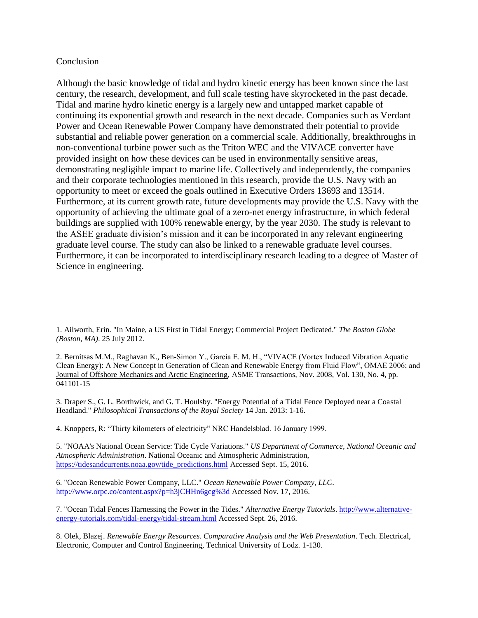## **Conclusion**

Although the basic knowledge of tidal and hydro kinetic energy has been known since the last century, the research, development, and full scale testing have skyrocketed in the past decade. Tidal and marine hydro kinetic energy is a largely new and untapped market capable of continuing its exponential growth and research in the next decade. Companies such as Verdant Power and Ocean Renewable Power Company have demonstrated their potential to provide substantial and reliable power generation on a commercial scale. Additionally, breakthroughs in non-conventional turbine power such as the Triton WEC and the VIVACE converter have provided insight on how these devices can be used in environmentally sensitive areas, demonstrating negligible impact to marine life. Collectively and independently, the companies and their corporate technologies mentioned in this research, provide the U.S. Navy with an opportunity to meet or exceed the goals outlined in Executive Orders 13693 and 13514. Furthermore, at its current growth rate, future developments may provide the U.S. Navy with the opportunity of achieving the ultimate goal of a zero-net energy infrastructure, in which federal buildings are supplied with 100% renewable energy, by the year 2030. The study is relevant to the ASEE graduate division's mission and it can be incorporated in any relevant engineering graduate level course. The study can also be linked to a renewable graduate level courses. Furthermore, it can be incorporated to interdisciplinary research leading to a degree of Master of Science in engineering.

1. Ailworth, Erin. "In Maine, a US First in Tidal Energy; Commercial Project Dedicated." *The Boston Globe (Boston, MA)*. 25 July 2012.

2. Bernitsas M.M., Raghavan K., Ben-Simon Y., Garcia E. M. H., "VIVACE (Vortex Induced Vibration Aquatic Clean Energy): A New Concept in Generation of Clean and Renewable Energy from Fluid Flow", OMAE 2006; and Journal of Offshore Mechanics and Arctic Engineering, ASME Transactions, Nov. 2008, Vol. 130, No. 4, pp. 041101-15

3. Draper S., G. L. Borthwick, and G. T. Houlsby. "Energy Potential of a Tidal Fence Deployed near a Coastal Headland." *Philosophical Transactions of the Royal Society* 14 Jan. 2013: 1-16.

4. Knoppers, R: "Thirty kilometers of electricity" NRC Handelsblad. 16 January 1999.

5. "NOAA's National Ocean Service: Tide Cycle Variations." *US Department of Commerce, National Oceanic and Atmospheric Administration*. National Oceanic and Atmospheric Administration, [https://tidesandcurrents.noaa.gov/tide\\_predictions.html](https://tidesandcurrents.noaa.gov/tide_predictions.html) Accessed Sept. 15, 2016.

6. "Ocean Renewable Power Company, LLC." *Ocean Renewable Power Company, LLC*. <http://www.orpc.co/content.aspx?p=h3jCHHn6gcg%3d> Accessed Nov. 17, 2016.

7. "Ocean Tidal Fences Harnessing the Power in the Tides." *Alternative Energy Tutorials*[. http://www.alternative](http://www.alternative-energy-tutorials.com/tidal-energy/tidal-stream.html)[energy-tutorials.com/tidal-energy/tidal-stream.html](http://www.alternative-energy-tutorials.com/tidal-energy/tidal-stream.html) Accessed Sept. 26, 2016.

8. Olek, Blazej. *Renewable Energy Resources. Comparative Analysis and the Web Presentation*. Tech. Electrical, Electronic, Computer and Control Engineering, Technical University of Lodz. 1-130.